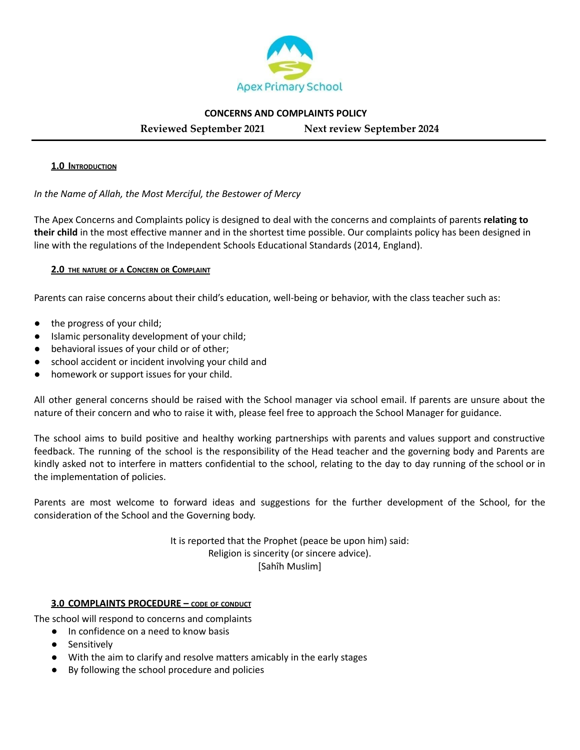

### **CONCERNS AND COMPLAINTS POLICY**

**Reviewed September 2021 Next review September 2024**

### **1.0 INTRODUCTION**

## *In the Name of Allah, the Most Merciful, the Bestower of Mercy*

The Apex Concerns and Complaints policy is designed to deal with the concerns and complaints of parents **relating to their child** in the most effective manner and in the shortest time possible. Our complaints policy has been designed in line with the regulations of the Independent Schools Educational Standards (2014, England).

### **2.0 THE NATURE OF <sup>A</sup> CONCERN OR COMPLAINT**

Parents can raise concerns about their child's education, well-being or behavior, with the class teacher such as:

- the progress of your child;
- Islamic personality development of your child;
- behavioral issues of your child or of other;
- school accident or incident involving your child and
- homework or support issues for your child.

All other general concerns should be raised with the School manager via school email. If parents are unsure about the nature of their concern and who to raise it with, please feel free to approach the School Manager for guidance.

The school aims to build positive and healthy working partnerships with parents and values support and constructive feedback. The running of the school is the responsibility of the Head teacher and the governing body and Parents are kindly asked not to interfere in matters confidential to the school, relating to the day to day running of the school or in the implementation of policies.

Parents are most welcome to forward ideas and suggestions for the further development of the School, for the consideration of the School and the Governing body.

> It is reported that the Prophet (peace be upon him) said: Religion is sincerity (or sincere advice). [Sahîh Muslim]

#### **3.0 COMPLAINTS PROCEDURE – CODE OF CONDUCT**

The school will respond to concerns and complaints

- In confidence on a need to know basis
- Sensitively
- With the aim to clarify and resolve matters amicably in the early stages
- By following the school procedure and policies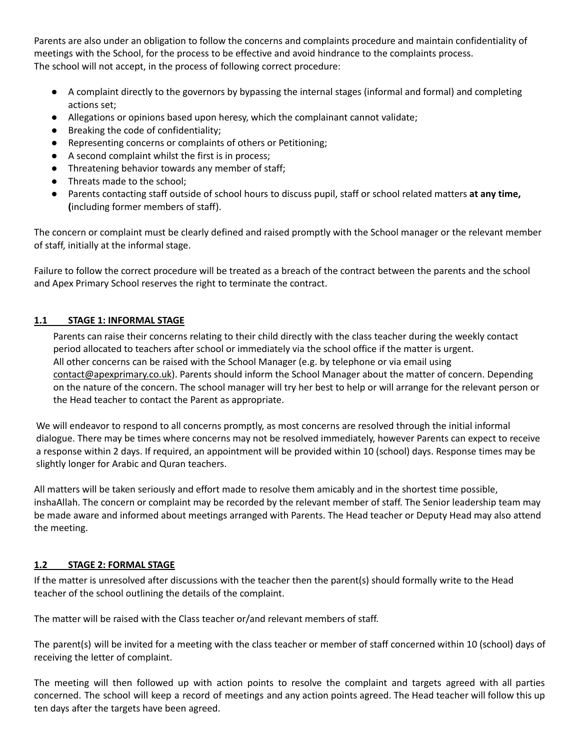Parents are also under an obligation to follow the concerns and complaints procedure and maintain confidentiality of meetings with the School, for the process to be effective and avoid hindrance to the complaints process. The school will not accept, in the process of following correct procedure:

- A complaint directly to the governors by bypassing the internal stages (informal and formal) and completing actions set;
- Allegations or opinions based upon heresy, which the complainant cannot validate;
- Breaking the code of confidentiality;
- Representing concerns or complaints of others or Petitioning;
- A second complaint whilst the first is in process;
- Threatening behavior towards any member of staff;
- Threats made to the school;
- Parents contacting staff outside of school hours to discuss pupil, staff or school related matters **at any time, (**including former members of staff).

The concern or complaint must be clearly defined and raised promptly with the School manager or the relevant member of staff, initially at the informal stage.

Failure to follow the correct procedure will be treated as a breach of the contract between the parents and the school and Apex Primary School reserves the right to terminate the contract.

# **1.1 STAGE 1: INFORMAL STAGE**

Parents can raise their concerns relating to their child directly with the class teacher during the weekly contact period allocated to teachers after school or immediately via the school office if the matter is urgent. All other concerns can be raised with the School Manager (e.g. by telephone or via email using [contact@apexprimary.co.uk](mailto:contact@apexprimary.co.uk)). Parents should inform the School Manager about the matter of concern. Depending on the nature of the concern. The school manager will try her best to help or will arrange for the relevant person or the Head teacher to contact the Parent as appropriate.

We will endeavor to respond to all concerns promptly, as most concerns are resolved through the initial informal dialogue. There may be times where concerns may not be resolved immediately, however Parents can expect to receive a response within 2 days. If required, an appointment will be provided within 10 (school) days. Response times may be slightly longer for Arabic and Quran teachers.

All matters will be taken seriously and effort made to resolve them amicably and in the shortest time possible, inshaAllah. The concern or complaint may be recorded by the relevant member of staff. The Senior leadership team may be made aware and informed about meetings arranged with Parents. The Head teacher or Deputy Head may also attend the meeting.

# **1.2 STAGE 2: FORMAL STAGE**

If the matter is unresolved after discussions with the teacher then the parent(s) should formally write to the Head teacher of the school outlining the details of the complaint.

The matter will be raised with the Class teacher or/and relevant members of staff.

The parent(s) will be invited for a meeting with the class teacher or member of staff concerned within 10 (school) days of receiving the letter of complaint.

The meeting will then followed up with action points to resolve the complaint and targets agreed with all parties concerned. The school will keep a record of meetings and any action points agreed. The Head teacher will follow this up ten days after the targets have been agreed.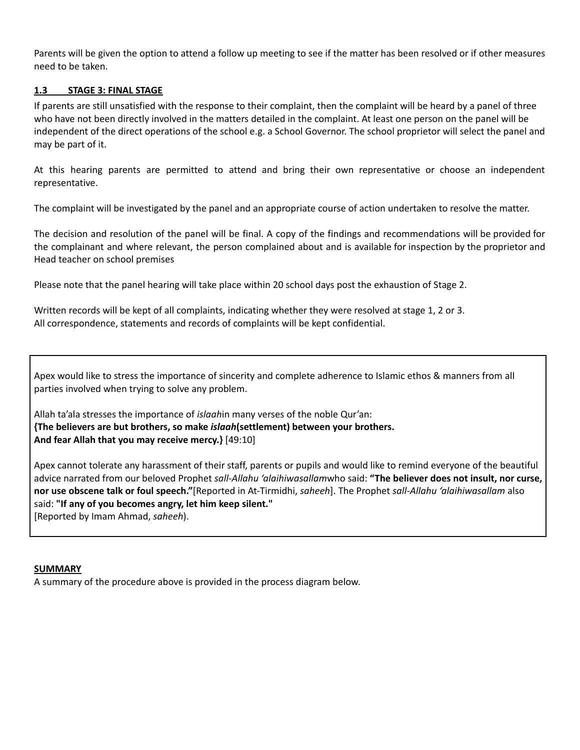Parents will be given the option to attend a follow up meeting to see if the matter has been resolved or if other measures need to be taken.

## **1.3 STAGE 3: FINAL STAGE**

If parents are still unsatisfied with the response to their complaint, then the complaint will be heard by a panel of three who have not been directly involved in the matters detailed in the complaint. At least one person on the panel will be independent of the direct operations of the school e.g. a School Governor. The school proprietor will select the panel and may be part of it.

At this hearing parents are permitted to attend and bring their own representative or choose an independent representative.

The complaint will be investigated by the panel and an appropriate course of action undertaken to resolve the matter.

The decision and resolution of the panel will be final. A copy of the findings and recommendations will be provided for the complainant and where relevant, the person complained about and is available for inspection by the proprietor and Head teacher on school premises

Please note that the panel hearing will take place within 20 school days post the exhaustion of Stage 2.

Written records will be kept of all complaints, indicating whether they were resolved at stage 1, 2 or 3. All correspondence, statements and records of complaints will be kept confidential.

Apex would like to stress the importance of sincerity and complete adherence to Islamic ethos & manners from all parties involved when trying to solve any problem.

Allah ta'ala stresses the importance of *islaah*in many verses of the noble Qur'an: **{The believers are but brothers, so make** *islaah***(settlement) between your brothers. And fear Allah that you may receive mercy.}** [49:10]

Apex cannot tolerate any harassment of their staff, parents or pupils and would like to remind everyone of the beautiful advice narrated from our beloved Prophet *sall-Allahu 'alaihiwasallam*who said: **"The believer does not insult, nor curse, nor use obscene talk or foul speech."**[Reported in At-Tirmidhi, *saheeh*]. The Prophet *sall-Allahu 'alaihiwasallam* also said: **"If any of you becomes angry, let him keep silent."** [Reported by Imam Ahmad, *saheeh*).

**SUMMARY**

A summary of the procedure above is provided in the process diagram below.